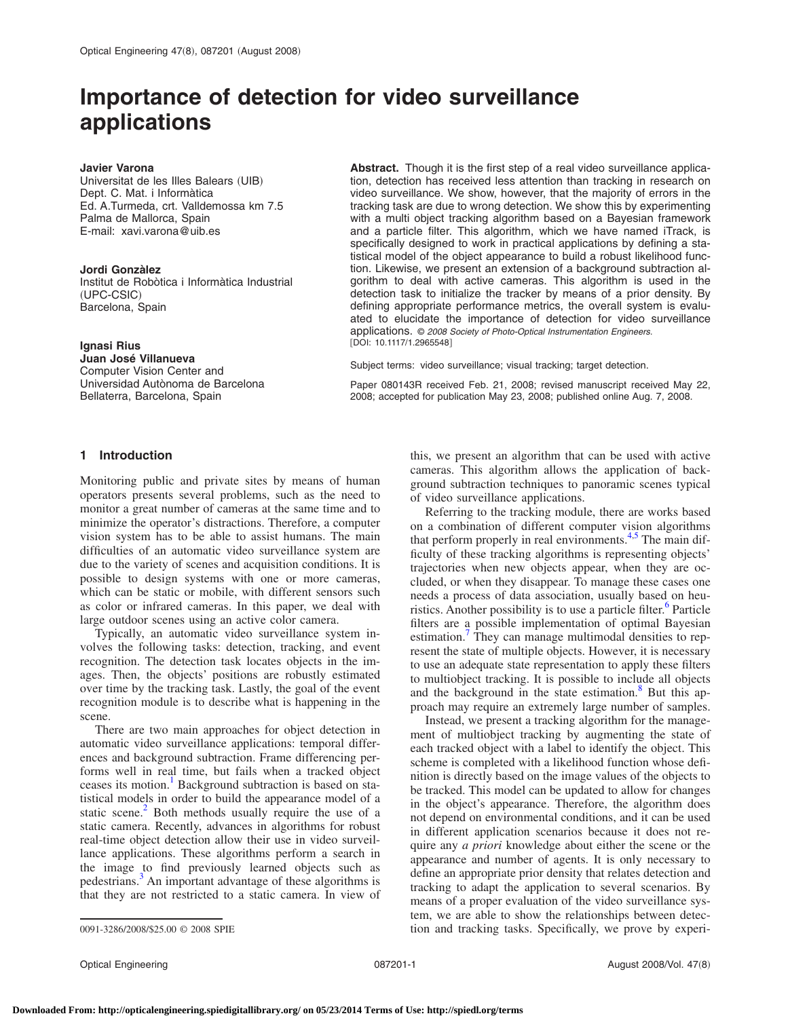# **Importance of detection for video surveillance applications**

#### **Javier Varona**

Universitat de les Illes Balears (UIB) Dept. C. Mat. i Informàtica Ed. A.Turmeda, crt. Valldemossa km 7.5 Palma de Mallorca, Spain E-mail: xavi.varona@uib.es

#### **Jordi Gonzàlez**

Institut de Robòtica i Informàtica Industrial  $(UPC\text{-}CSIC)$ Barcelona, Spain

# **Ignasi Rius**

**Juan José Villanueva** Computer Vision Center and Universidad Autònoma de Barcelona Bellaterra, Barcelona, Spain

**Abstract.** Though it is the first step of a real video surveillance application, detection has received less attention than tracking in research on video surveillance. We show, however, that the majority of errors in the tracking task are due to wrong detection. We show this by experimenting with a multi object tracking algorithm based on a Bayesian framework and a particle filter. This algorithm, which we have named iTrack, is specifically designed to work in practical applications by defining a statistical model of the object appearance to build a robust likelihood function. Likewise, we present an extension of a background subtraction algorithm to deal with active cameras. This algorithm is used in the detection task to initialize the tracker by means of a prior density. By defining appropriate performance metrics, the overall system is evaluated to elucidate the importance of detection for video surveillance applications. © *2008 Society of Photo-Optical Instrumentation Engineers.* [DOI: 10.1117/1.2965548]

Subject terms: video surveillance; visual tracking; target detection.

Paper 080143R received Feb. 21, 2008; revised manuscript received May 22, 2008; accepted for publication May 23, 2008; published online Aug. 7, 2008.

# **1 Introduction**

Monitoring public and private sites by means of human operators presents several problems, such as the need to monitor a great number of cameras at the same time and to minimize the operator's distractions. Therefore, a computer vision system has to be able to assist humans. The main difficulties of an automatic video surveillance system are due to the variety of scenes and acquisition conditions. It is possible to design systems with one or more cameras, which can be static or mobile, with different sensors such as color or infrared cameras. In this paper, we deal with large outdoor scenes using an active color camera.

Typically, an automatic video surveillance system involves the following tasks: detection, tracking, and event recognition. The detection task locates objects in the images. Then, the objects' positions are robustly estimated over time by the tracking task. Lastly, the goal of the event recognition module is to describe what is happening in the scene.

There are two main approaches for object detection in automatic video surveillance applications: temporal differences and background subtraction. Frame differencing performs well in real time, but fails when a tracked object ceases its motion.<sup>1</sup> Background subtraction is based on statistical models in order to build the appearance model of a static scene.<sup>2</sup> Both methods usually require the use of a static camera. Recently, advances in algorithms for robust real-time object detection allow their use in video surveillance applications. These algorithms perform a search in the image to find previously learned objects such as pedestrians[.3](#page-8-2) An important advantage of these algorithms is that they are not restricted to a static camera. In view of

this, we present an algorithm that can be used with active cameras. This algorithm allows the application of background subtraction techniques to panoramic scenes typical of video surveillance applications.

Referring to the tracking module, there are works based on a combination of different computer vision algorithms that perform properly in real environments. $4.5$  $4.5$  The main difficulty of these tracking algorithms is representing objects' trajectories when new objects appear, when they are occluded, or when they disappear. To manage these cases one needs a process of data association, usually based on heuristics. Another possibility is to use a particle filter.<sup>6</sup> Particle filters are a possible implementation of optimal Bayesian estimation.<sup>7</sup> They can manage multimodal densities to represent the state of multiple objects. However, it is necessary to use an adequate state representation to apply these filters to multiobject tracking. It is possible to include all objects and the background in the state estimation. $8$  But this approach may require an extremely large number of samples.

Instead, we present a tracking algorithm for the management of multiobject tracking by augmenting the state of each tracked object with a label to identify the object. This scheme is completed with a likelihood function whose definition is directly based on the image values of the objects to be tracked. This model can be updated to allow for changes in the object's appearance. Therefore, the algorithm does not depend on environmental conditions, and it can be used in different application scenarios because it does not require any *a priori* knowledge about either the scene or the appearance and number of agents. It is only necessary to define an appropriate prior density that relates detection and tracking to adapt the application to several scenarios. By means of a proper evaluation of the video surveillance system, we are able to show the relationships between detec-0091-3286/2008/\$25.00 © 2008 SPIE tion and tracking tasks. Specifically, we prove by experi-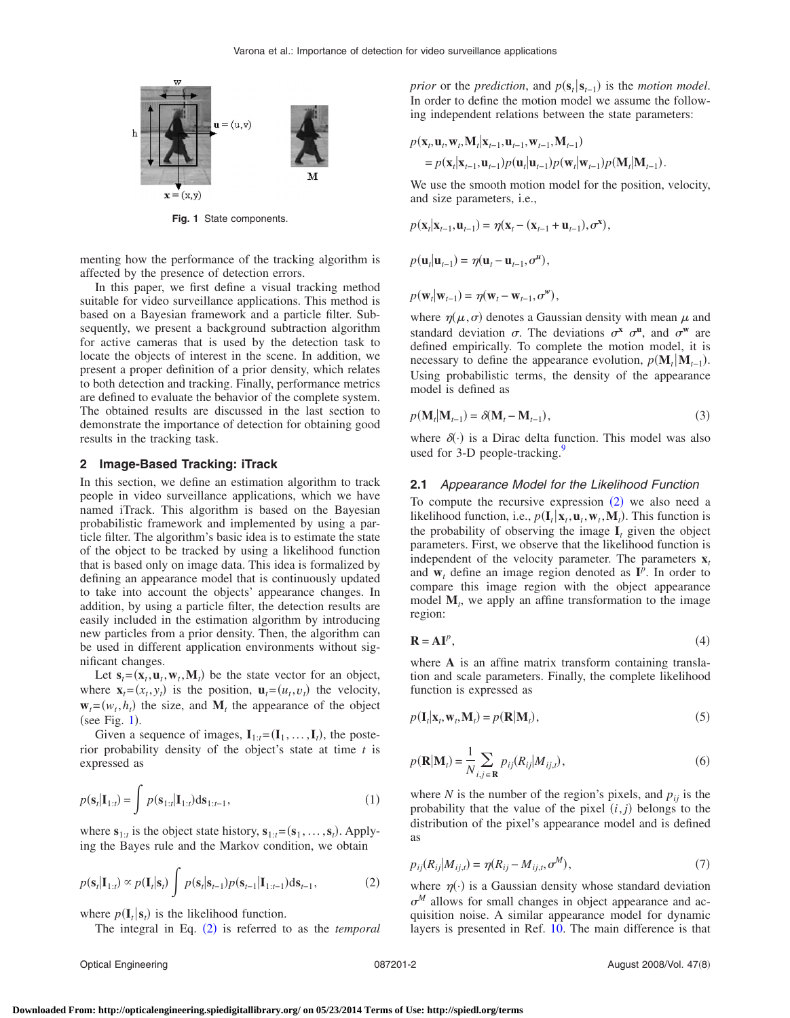<span id="page-1-0"></span>

**Fig. 1** State components.

menting how the performance of the tracking algorithm is affected by the presence of detection errors.

In this paper, we first define a visual tracking method suitable for video surveillance applications. This method is based on a Bayesian framework and a particle filter. Subsequently, we present a background subtraction algorithm for active cameras that is used by the detection task to locate the objects of interest in the scene. In addition, we present a proper definition of a prior density, which relates to both detection and tracking. Finally, performance metrics are defined to evaluate the behavior of the complete system. The obtained results are discussed in the last section to demonstrate the importance of detection for obtaining good results in the tracking task.

## **2 Image-Based Tracking: iTrack**

In this section, we define an estimation algorithm to track people in video surveillance applications, which we have named iTrack. This algorithm is based on the Bayesian probabilistic framework and implemented by using a particle filter. The algorithm's basic idea is to estimate the state of the object to be tracked by using a likelihood function that is based only on image data. This idea is formalized by defining an appearance model that is continuously updated to take into account the objects' appearance changes. In addition, by using a particle filter, the detection results are easily included in the estimation algorithm by introducing new particles from a prior density. Then, the algorithm can be used in different application environments without significant changes.

Let  $\mathbf{s}_t = (\mathbf{x}_t, \mathbf{u}_t, \mathbf{w}_t, \mathbf{M}_t)$  be the state vector for an object, where  $\mathbf{x}_t = (x_t, y_t)$  is the position,  $\mathbf{u}_t = (u_t, v_t)$  the velocity,  $\mathbf{w}_t = (w_t, h_t)$  the size, and  $\mathbf{M}_t$  the appearance of the object  $(see Fig. 1).$  $(see Fig. 1).$  $(see Fig. 1).$ 

Given a sequence of images,  $\mathbf{I}_{1:t} = (\mathbf{I}_1, \dots, \mathbf{I}_t)$ , the posterior probability density of the object's state at time *t* is expressed as

$$
p(\mathbf{s}_t | \mathbf{I}_{1:t}) = \int p(\mathbf{s}_{1:t} | \mathbf{I}_{1:t}) d\mathbf{s}_{1:t-1},
$$
\n(1)

where  $\mathbf{s}_{1:t}$  is the object state history,  $\mathbf{s}_{1:t} = (\mathbf{s}_1, \dots, \mathbf{s}_t)$ . Applying the Bayes rule and the Markov condition, we obtain

$$
p(\mathbf{s}_t|\mathbf{I}_{1:t}) \propto p(\mathbf{I}_t|\mathbf{s}_t) \int p(\mathbf{s}_t|\mathbf{s}_{t-1}) p(\mathbf{s}_{t-1}|\mathbf{I}_{1:t-1}) d\mathbf{s}_{t-1},
$$
 (2)

<span id="page-1-1"></span>where  $p(\mathbf{I}_t | \mathbf{s}_t)$  is the likelihood function.

The integral in Eq. ([2](#page-1-1)) is referred to as the *temporal* 

*prior* or the *prediction*, and  $p(\mathbf{s}_t | \mathbf{s}_{t-1})$  is the *motion model*. In order to define the motion model we assume the following independent relations between the state parameters:

$$
p(\mathbf{x}_{t}, \mathbf{u}_{t}, \mathbf{w}_{t}, \mathbf{M}_{t} | \mathbf{x}_{t-1}, \mathbf{u}_{t-1}, \mathbf{w}_{t-1}, \mathbf{M}_{t-1})
$$
  
=  $p(\mathbf{x}_{t} | \mathbf{x}_{t-1}, \mathbf{u}_{t-1}) p(\mathbf{u}_{t} | \mathbf{u}_{t-1}) p(\mathbf{w}_{t} | \mathbf{w}_{t-1}) p(\mathbf{M}_{t} | \mathbf{M}_{t-1}).$ 

We use the smooth motion model for the position, velocity, and size parameters, i.e.,

$$
p(\mathbf{x}_t|\mathbf{x}_{t-1},\mathbf{u}_{t-1}) = \eta(\mathbf{x}_t - (\mathbf{x}_{t-1} + \mathbf{u}_{t-1}), \sigma^{\mathbf{x}}),
$$

$$
p(\mathbf{u}_t|\mathbf{u}_{t-1}) = \eta(\mathbf{u}_t - \mathbf{u}_{t-1}, \sigma^u),
$$

$$
p(\mathbf{w}_t|\mathbf{w}_{t-1}) = \eta(\mathbf{w}_t - \mathbf{w}_{t-1}, \sigma^{\mathbf{w}}),
$$

where  $\eta(\mu, \sigma)$  denotes a Gaussian density with mean  $\mu$  and standard deviation  $\sigma$ . The deviations  $\sigma^x$   $\sigma^u$ , and  $\sigma^w$  are defined empirically. To complete the motion model, it is necessary to define the appearance evolution,  $p(\mathbf{M}_t | \mathbf{M}_{t-1})$ . Using probabilistic terms, the density of the appearance model is defined as

$$
p(\mathbf{M}_t|\mathbf{M}_{t-1}) = \delta(\mathbf{M}_t - \mathbf{M}_{t-1}),
$$
\n(3)

<span id="page-1-2"></span>where  $\delta(\cdot)$  is a Dirac delta function. This model was also used for  $3-D$  people-tracking.<sup>9</sup>

# **2.1** *Appearance Model for the Likelihood Function*

To compute the recursive expression  $(2)$  $(2)$  $(2)$  we also need a likelihood function, i.e.,  $p(\mathbf{I}_t | \mathbf{x}_t, \mathbf{u}_t, \mathbf{w}_t, \mathbf{M}_t)$ . This function is the probability of observing the image  $I_t$  given the object parameters. First, we observe that the likelihood function is independent of the velocity parameter. The parameters  $\mathbf{x}_t$ and  $\mathbf{w}_t$  define an image region denoted as  $\mathbf{I}^p$ . In order to compare this image region with the object appearance model  $M$ <sub>*t*</sub>, we apply an affine transformation to the image region:

$$
\mathbf{R} = \mathbf{A}\mathbf{I}^p,\tag{4}
$$

where **A** is an affine matrix transform containing translation and scale parameters. Finally, the complete likelihood function is expressed as

$$
p(\mathbf{I}_t|\mathbf{x}_t, \mathbf{w}_t, \mathbf{M}_t) = p(\mathbf{R}|\mathbf{M}_t),
$$
\n(5)

<span id="page-1-3"></span>
$$
p(\mathbf{R}|\mathbf{M}_{i}) = \frac{1}{N} \sum_{i,j \in \mathbf{R}} p_{ij}(R_{ij}|M_{ij,t}),
$$
\n(6)

where *N* is the number of the region's pixels, and  $p_{ij}$  is the probability that the value of the pixel  $(i, j)$  belongs to the distribution of the pixel's appearance model and is defined as

$$
p_{ij}(R_{ij}|M_{ij,t}) = \eta(R_{ij} - M_{ij,t}, \sigma^M),
$$
\n(7)

where  $\eta(\cdot)$  is a Gaussian density whose standard deviation  $\sigma^M$  allows for small changes in object appearance and acquisition noise. A similar appearance model for dynamic layers is presented in Ref. [10.](#page-8-9) The main difference is that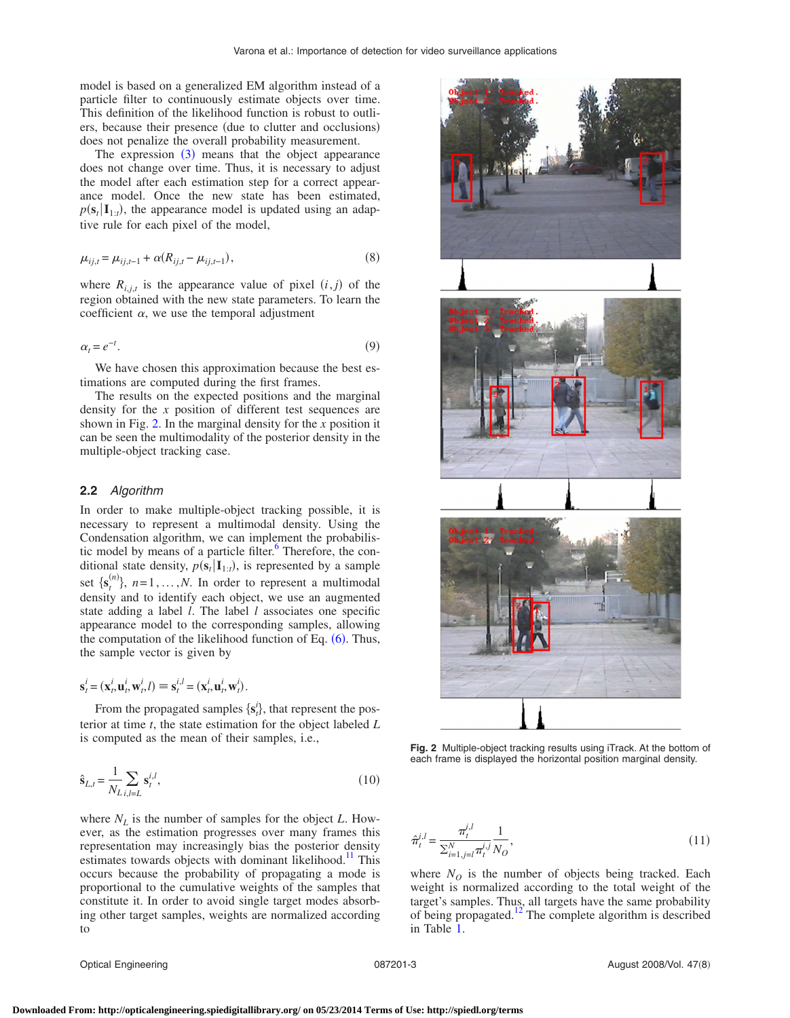model is based on a generalized EM algorithm instead of a particle filter to continuously estimate objects over time. This definition of the likelihood function is robust to outliers, because their presence (due to clutter and occlusions) does not penalize the overall probability measurement.

The expression  $(3)$  $(3)$  $(3)$  means that the object appearance does not change over time. Thus, it is necessary to adjust the model after each estimation step for a correct appearance model. Once the new state has been estimated,  $p(\mathbf{s}_t | \mathbf{I}_{1:t})$ , the appearance model is updated using an adaptive rule for each pixel of the model,

$$
\mu_{ij,t} = \mu_{ij,t-1} + \alpha (R_{ij,t} - \mu_{ij,t-1}),
$$
\n(8)

where  $R_{i,j,t}$  is the appearance value of pixel  $(i,j)$  of the region obtained with the new state parameters. To learn the coefficient  $\alpha$ , we use the temporal adjustment

$$
\alpha_t = e^{-t}.\tag{9}
$$

We have chosen this approximation because the best estimations are computed during the first frames.

The results on the expected positions and the marginal density for the *x* position of different test sequences are shown in Fig. [2.](#page-2-0) In the marginal density for the *x* position it can be seen the multimodality of the posterior density in the multiple-object tracking case.

## **2.2** *Algorithm*

In order to make multiple-object tracking possible, it is necessary to represent a multimodal density. Using the Condensation algorithm, we can implement the probabilistic model by means of a particle filter. $<sup>6</sup>$  Therefore, the con-</sup> ditional state density,  $p(\mathbf{s}_t | \mathbf{I}_{1:t})$ , is represented by a sample set  $\{s_t^{(n)}\}, n=1,\ldots,N$ . In order to represent a multimodal density and to identify each object, we use an augmented state adding a label *l*. The label *l* associates one specific appearance model to the corresponding samples, allowing the computation of the likelihood function of Eq.  $(6)$  $(6)$  $(6)$ . Thus, the sample vector is given by

$$
\mathbf{s}_t^i = (\mathbf{x}_t^i, \mathbf{u}_t^i, \mathbf{w}_t^i, l) \equiv \mathbf{s}_t^{i,l} = (\mathbf{x}_t^i, \mathbf{u}_t^i, \mathbf{w}_t^i).
$$

From the propagated samples  $\{s_t^i\}$ , that represent the posterior at time *t*, the state estimation for the object labeled *L* is computed as the mean of their samples, i.e.,

$$
\hat{\mathbf{s}}_{L,t} = \frac{1}{N_L} \sum_{i,l=L} \mathbf{s}_t^{i,l},\tag{10}
$$

where  $N_L$  is the number of samples for the object  $L$ . However, as the estimation progresses over many frames this representation may increasingly bias the posterior density estimates towards objects with dominant likelihood.<sup>11</sup> This occurs because the probability of propagating a mode is proportional to the cumulative weights of the samples that constitute it. In order to avoid single target modes absorbing other target samples, weights are normalized according to

<span id="page-2-0"></span>



**Fig. 2** Multiple-object tracking results using iTrack. At the bottom of each frame is displayed the horizontal position marginal density.

<span id="page-2-1"></span>
$$
\hat{\pi}_t^{i,l} = \frac{\pi_t^{i,l}}{\sum_{i=1,j=l}^N \pi_t^{i,j}} \frac{1}{N_O},\tag{11}
$$

where  $N_O$  is the number of objects being tracked. Each weight is normalized according to the total weight of the target's samples. Thus, all targets have the same probability of being propagated.<sup>12</sup> The complete algorithm is described in Table [1.](#page-3-0)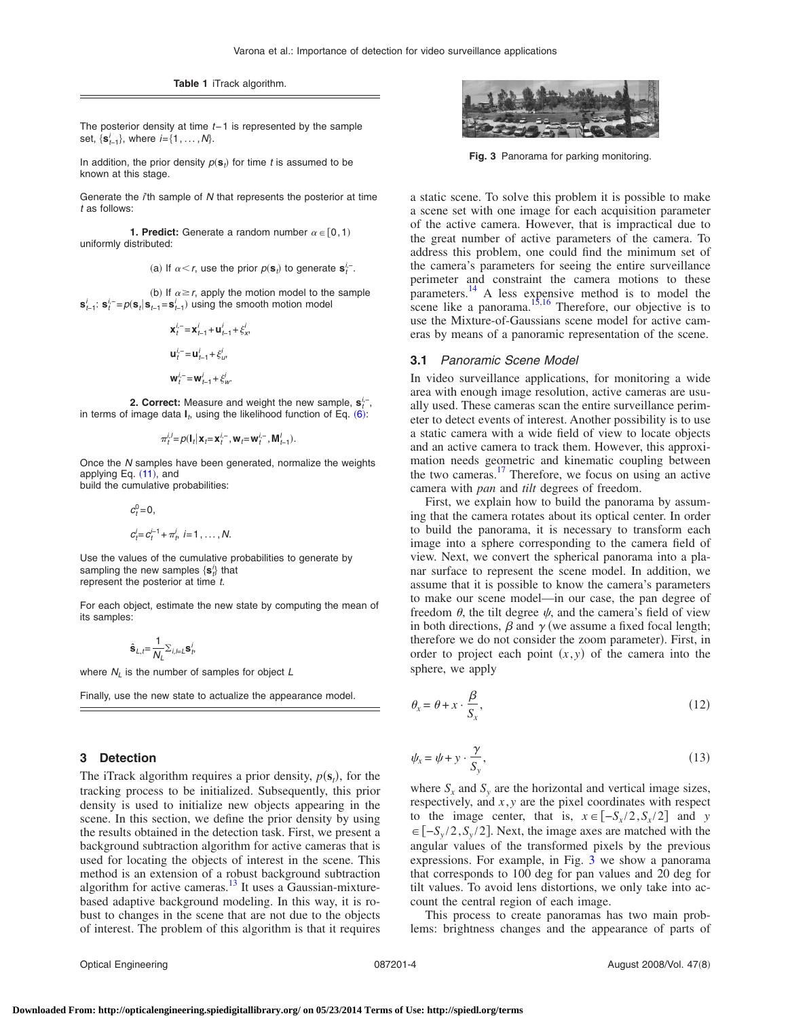**Table 1** iTrack algorithm.

<span id="page-3-0"></span>The posterior density at time *t*−1 is represented by the sample set, {**s**<sup>*i*</sup><sub>t−1</sub>}, where *i*={1, ..., *N*}.

In addition, the prior density  $p(\mathbf{s}_t)$  for time *t* is assumed to be known at this stage.

Generate the *i*'th sample of *N* that represents the posterior at time *t* as follows:

**1. Predict:** Generate a random number  $\alpha \in [0,1)$ uniformly distributed:

(a) If 
$$
\alpha < r
$$
, use the prior  $p(\mathbf{s}_t)$  to generate  $\mathbf{s}_t^{i-}$ .

(b) If  $\alpha \geq r$ , apply the motion model to the sample **s**<sup>*i*</sup><sub> $t$ </sub> −  $\bf{s}$ <sup>*i*</sup>,<sup>*i*</sup> =  $p$ ( $\bf{s}$ <sub>*t*</sub>| $\bf{s}$ <sub>*t*−1</sub>= $\bf{s}$ <sup>*i*</sup><sub>−1</sub>) using the smooth motion model

$$
\mathbf{x}_{t}^{i,-} = \mathbf{x}_{t-1}^{i} + \mathbf{u}_{t-1}^{i} + \xi_{x}^{i},
$$
  

$$
\mathbf{u}_{t}^{i,-} = \mathbf{u}_{t-1}^{i} + \xi_{u}^{i},
$$
  

$$
\mathbf{w}_{t}^{i,-} = \mathbf{w}_{t-1}^{i} + \xi_{w}^{i}.
$$

**2. Correct:** Measure and weight the new sample, **s***<sup>t</sup> i*,−, in terms of image data  $I_t$ , using the likelihood function of Eq.  $(6)$  $(6)$  $(6)$ :

$$
\pi_t^{i,l} = p(\mathbf{I}_t | \mathbf{x}_t = \mathbf{x}_t^{i,-}, \mathbf{w}_t = \mathbf{w}_t^{i,-}, \mathbf{M}_{t-1}^l).
$$

Once the *N* samples have been generated, normalize the weights applying Eq. ([11](#page-2-1)), and build the cumulative probabilities:

$$
c_t^0=0,
$$

$$
c_t^i = c_t^{i-1} + \pi_t^i, \ i = 1, \dots, N.
$$

Use the values of the cumulative probabilities to generate by sampling the new samples  $\{s^i_l\}$  that represent the posterior at time *t*.

For each object, estimate the new state by computing the mean of its samples:

$$
\hat{\textbf{s}}_{L,t} = \frac{1}{N_L} \sum_{i,l=L} \textbf{s}_l^i
$$

where  $N_l$  is the number of samples for object  $L$ 

,

Finally, use the new state to actualize the appearance model.

## **3 Detection**

The iTrack algorithm requires a prior density,  $p(\mathbf{s}_t)$ , for the tracking process to be initialized. Subsequently, this prior density is used to initialize new objects appearing in the scene. In this section, we define the prior density by using the results obtained in the detection task. First, we present a background subtraction algorithm for active cameras that is used for locating the objects of interest in the scene. This method is an extension of a robust background subtraction algorithm for active cameras. $^{13}$  It uses a Gaussian-mixturebased adaptive background modeling. In this way, it is robust to changes in the scene that are not due to the objects of interest. The problem of this algorithm is that it requires

<span id="page-3-1"></span>

**Fig. 3** Panorama for parking monitoring.

a static scene. To solve this problem it is possible to make a scene set with one image for each acquisition parameter of the active camera. However, that is impractical due to the great number of active parameters of the camera. To address this problem, one could find the minimum set of the camera's parameters for seeing the entire surveillance perimeter and constraint the camera motions to these parameters. $^{14}$  A less expensive method is to model the scene like a panorama.<sup>15,[16](#page-8-15)</sup> Therefore, our objective is to use the Mixture-of-Gaussians scene model for active cameras by means of a panoramic representation of the scene.

## **3.1** *Panoramic Scene Model*

In video surveillance applications, for monitoring a wide area with enough image resolution, active cameras are usually used. These cameras scan the entire surveillance perimeter to detect events of interest. Another possibility is to use a static camera with a wide field of view to locate objects and an active camera to track them. However, this approximation needs geometric and kinematic coupling between the two cameras. $17$  Therefore, we focus on using an active camera with *pan* and *tilt* degrees of freedom.

First, we explain how to build the panorama by assuming that the camera rotates about its optical center. In order to build the panorama, it is necessary to transform each image into a sphere corresponding to the camera field of view. Next, we convert the spherical panorama into a planar surface to represent the scene model. In addition, we assume that it is possible to know the camera's parameters to make our scene model—in our case, the pan degree of freedom  $\theta$ , the tilt degree  $\psi$ , and the camera's field of view in both directions,  $\beta$  and  $\gamma$  (we assume a fixed focal length; therefore we do not consider the zoom parameter). First, in order to project each point  $(x, y)$  of the camera into the sphere, we apply

$$
\theta_x = \theta + x \cdot \frac{\beta}{S_x},\tag{12}
$$

$$
\psi_x = \psi + y \cdot \frac{\gamma}{S_y},\tag{13}
$$

where  $S_x$  and  $S_y$  are the horizontal and vertical image sizes, respectively, and *x*, *y* are the pixel coordinates with respect to the image center, that is,  $x \in [-S_x/2, S_x/2]$  and *y*  $\in [-S_y/2, S_y/2]$ . Next, the image axes are matched with the angular values of the transformed pixels by the previous expressions. For example, in Fig. [3](#page-3-1) we show a panorama that corresponds to 100 deg for pan values and 20 deg for tilt values. To avoid lens distortions, we only take into account the central region of each image.

This process to create panoramas has two main problems: brightness changes and the appearance of parts of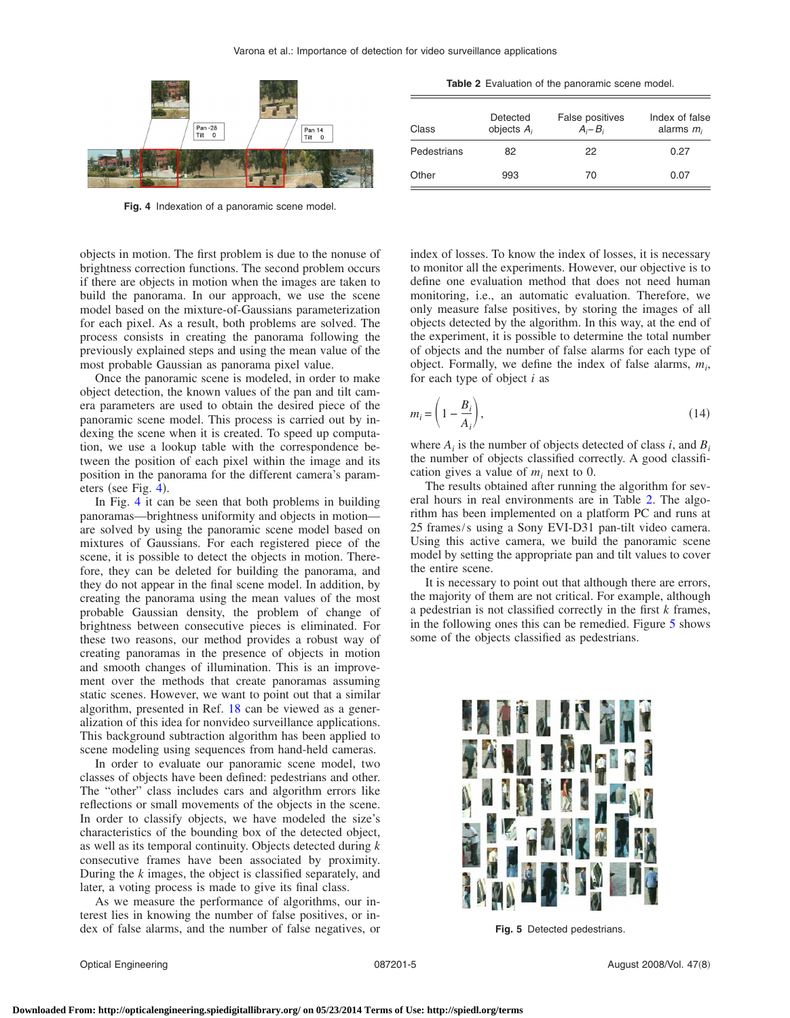<span id="page-4-0"></span>

**Fig. 4** Indexation of a panoramic scene model.

objects in motion. The first problem is due to the nonuse of brightness correction functions. The second problem occurs if there are objects in motion when the images are taken to build the panorama. In our approach, we use the scene model based on the mixture-of-Gaussians parameterization for each pixel. As a result, both problems are solved. The process consists in creating the panorama following the previously explained steps and using the mean value of the most probable Gaussian as panorama pixel value.

Once the panoramic scene is modeled, in order to make object detection, the known values of the pan and tilt camera parameters are used to obtain the desired piece of the panoramic scene model. This process is carried out by indexing the scene when it is created. To speed up computation, we use a lookup table with the correspondence between the position of each pixel within the image and its position in the panorama for the different camera's param-eters (see Fig. [4](#page-4-0)).

In Fig. [4](#page-4-0) it can be seen that both problems in building panoramas—brightness uniformity and objects in motion are solved by using the panoramic scene model based on mixtures of Gaussians. For each registered piece of the scene, it is possible to detect the objects in motion. Therefore, they can be deleted for building the panorama, and they do not appear in the final scene model. In addition, by creating the panorama using the mean values of the most probable Gaussian density, the problem of change of brightness between consecutive pieces is eliminated. For these two reasons, our method provides a robust way of creating panoramas in the presence of objects in motion and smooth changes of illumination. This is an improvement over the methods that create panoramas assuming static scenes. However, we want to point out that a similar algorithm, presented in Ref. [18](#page-8-17) can be viewed as a generalization of this idea for nonvideo surveillance applications. This background subtraction algorithm has been applied to scene modeling using sequences from hand-held cameras.

In order to evaluate our panoramic scene model, two classes of objects have been defined: pedestrians and other. The "other" class includes cars and algorithm errors like reflections or small movements of the objects in the scene. In order to classify objects, we have modeled the size's characteristics of the bounding box of the detected object, as well as its temporal continuity. Objects detected during *k* consecutive frames have been associated by proximity. During the *k* images, the object is classified separately, and later, a voting process is made to give its final class.

As we measure the performance of algorithms, our interest lies in knowing the number of false positives, or index of false alarms, and the number of false negatives, or

**Table 2** Evaluation of the panoramic scene model.

<span id="page-4-1"></span>

| Class       | Detected<br>objects $A_i$ | False positives<br>$A_i - B_i$ | Index of false<br>alarms $m_i$ |
|-------------|---------------------------|--------------------------------|--------------------------------|
| Pedestrians | 82                        | 22                             | 0.27                           |
| Other       | 993                       | 70                             | 0.07                           |

index of losses. To know the index of losses, it is necessary to monitor all the experiments. However, our objective is to define one evaluation method that does not need human monitoring, i.e., an automatic evaluation. Therefore, we only measure false positives, by storing the images of all objects detected by the algorithm. In this way, at the end of the experiment, it is possible to determine the total number of objects and the number of false alarms for each type of object. Formally, we define the index of false alarms,  $m_i$ , for each type of object *i* as

$$
m_i = \left(1 - \frac{B_i}{A_i}\right),\tag{14}
$$

where  $A_i$  is the number of objects detected of class *i*, and  $B_i$ the number of objects classified correctly. A good classification gives a value of *mi* next to 0.

The results obtained after running the algorithm for several hours in real environments are in Table [2.](#page-4-1) The algorithm has been implemented on a platform PC and runs at 25 frames/s using a Sony EVI-D31 pan-tilt video camera. Using this active camera, we build the panoramic scene model by setting the appropriate pan and tilt values to cover the entire scene.

It is necessary to point out that although there are errors, the majority of them are not critical. For example, although a pedestrian is not classified correctly in the first *k* frames, in the following ones this can be remedied. Figure [5](#page-4-2) shows some of the objects classified as pedestrians.

<span id="page-4-2"></span>

**Fig. 5** Detected pedestrians.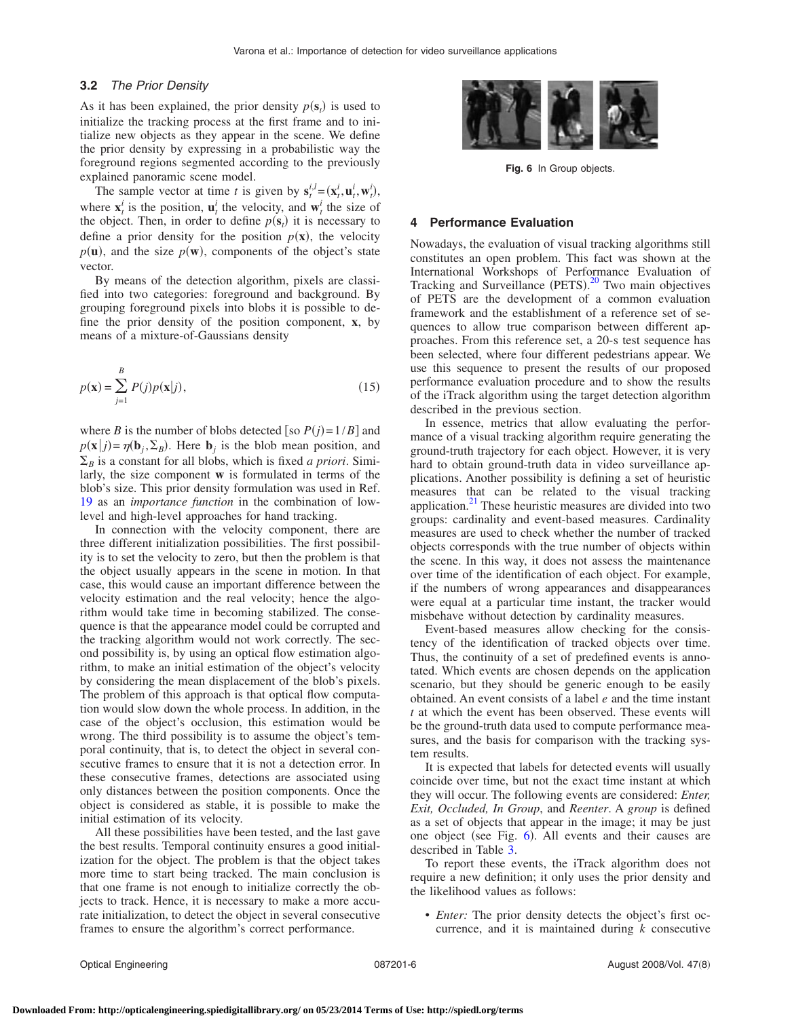## **3.2** *The Prior Density*

As it has been explained, the prior density  $p(\mathbf{s}_t)$  is used to initialize the tracking process at the first frame and to initialize new objects as they appear in the scene. We define the prior density by expressing in a probabilistic way the foreground regions segmented according to the previously explained panoramic scene model.

The sample vector at time *t* is given by  $\mathbf{s}_t^{i,l} = (\mathbf{x}_t^i, \mathbf{u}_t^i, \mathbf{w}_t^i)$ , where  $\mathbf{x}_t^i$  is the position,  $\mathbf{u}_t^i$  the velocity, and  $\mathbf{w}_t^i$  the size of the object. Then, in order to define  $p(\mathbf{s}_t)$  it is necessary to define a prior density for the position  $p(\mathbf{x})$ , the velocity  $p(\mathbf{u})$ , and the size  $p(\mathbf{w})$ , components of the object's state vector.

By means of the detection algorithm, pixels are classified into two categories: foreground and background. By grouping foreground pixels into blobs it is possible to define the prior density of the position component, **x**, by means of a mixture-of-Gaussians density

$$
p(\mathbf{x}) = \sum_{j=1}^{B} P(j)p(\mathbf{x}|j),
$$
\n(15)

where *B* is the number of blobs detected [so  $P(j) = 1/B$ ] and  $p(\mathbf{x}|j) = \eta(\mathbf{b}_j, \Sigma_B)$ . Here  $\mathbf{b}_j$  is the blob mean position, and  $\Sigma_B$  is a constant for all blobs, which is fixed *a priori*. Similarly, the size component **w** is formulated in terms of the blob's size. This prior density formulation was used in Ref. [19](#page-8-18) as an *importance function* in the combination of lowlevel and high-level approaches for hand tracking.

In connection with the velocity component, there are three different initialization possibilities. The first possibility is to set the velocity to zero, but then the problem is that the object usually appears in the scene in motion. In that case, this would cause an important difference between the velocity estimation and the real velocity; hence the algorithm would take time in becoming stabilized. The consequence is that the appearance model could be corrupted and the tracking algorithm would not work correctly. The second possibility is, by using an optical flow estimation algorithm, to make an initial estimation of the object's velocity by considering the mean displacement of the blob's pixels. The problem of this approach is that optical flow computation would slow down the whole process. In addition, in the case of the object's occlusion, this estimation would be wrong. The third possibility is to assume the object's temporal continuity, that is, to detect the object in several consecutive frames to ensure that it is not a detection error. In these consecutive frames, detections are associated using only distances between the position components. Once the object is considered as stable, it is possible to make the initial estimation of its velocity.

All these possibilities have been tested, and the last gave the best results. Temporal continuity ensures a good initialization for the object. The problem is that the object takes more time to start being tracked. The main conclusion is that one frame is not enough to initialize correctly the objects to track. Hence, it is necessary to make a more accurate initialization, to detect the object in several consecutive frames to ensure the algorithm's correct performance.

<span id="page-5-0"></span>

**Fig. 6** In Group objects.

#### **4 Performance Evaluation**

Nowadays, the evaluation of visual tracking algorithms still constitutes an open problem. This fact was shown at the International Workshops of Performance Evaluation of Tracking and Surveillance (PETS).<sup>[20](#page-8-19)</sup> Two main objectives of PETS are the development of a common evaluation framework and the establishment of a reference set of sequences to allow true comparison between different approaches. From this reference set, a 20-s test sequence has been selected, where four different pedestrians appear. We use this sequence to present the results of our proposed performance evaluation procedure and to show the results of the iTrack algorithm using the target detection algorithm described in the previous section.

In essence, metrics that allow evaluating the performance of a visual tracking algorithm require generating the ground-truth trajectory for each object. However, it is very hard to obtain ground-truth data in video surveillance applications. Another possibility is defining a set of heuristic measures that can be related to the visual tracking application. $2<sup>1</sup>$  These heuristic measures are divided into two groups: cardinality and event-based measures. Cardinality measures are used to check whether the number of tracked objects corresponds with the true number of objects within the scene. In this way, it does not assess the maintenance over time of the identification of each object. For example, if the numbers of wrong appearances and disappearances were equal at a particular time instant, the tracker would misbehave without detection by cardinality measures.

Event-based measures allow checking for the consistency of the identification of tracked objects over time. Thus, the continuity of a set of predefined events is annotated. Which events are chosen depends on the application scenario, but they should be generic enough to be easily obtained. An event consists of a label *e* and the time instant *t* at which the event has been observed. These events will be the ground-truth data used to compute performance measures, and the basis for comparison with the tracking system results.

It is expected that labels for detected events will usually coincide over time, but not the exact time instant at which they will occur. The following events are considered: *Enter, Exit, Occluded, In Group*, and *Reenter*. A *group* is defined as a set of objects that appear in the image; it may be just one object (see Fig. [6](#page-5-0)). All events and their causes are described in Table [3.](#page-6-0)

To report these events, the iTrack algorithm does not require a new definition; it only uses the prior density and the likelihood values as follows:

• *Enter:* The prior density detects the object's first occurrence, and it is maintained during *k* consecutive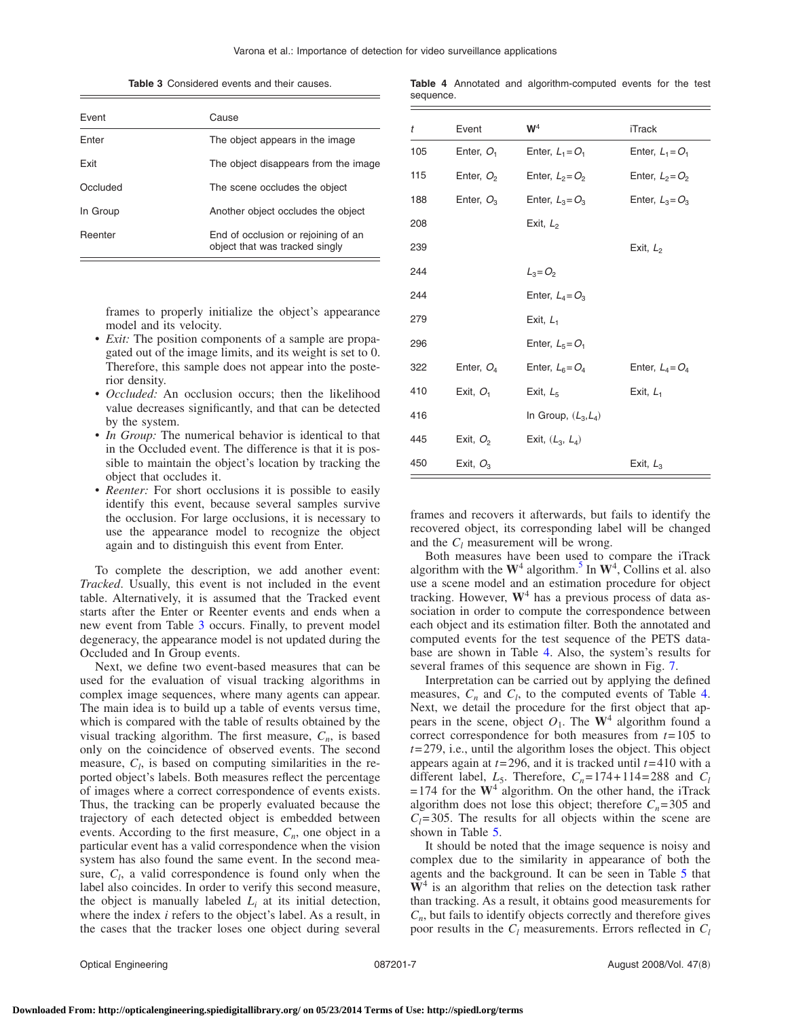sequence.

**Table 3** Considered events and their causes.

<span id="page-6-0"></span>

| Fvent    | Cause                                                                 |  |
|----------|-----------------------------------------------------------------------|--|
| Fnter    | The object appears in the image                                       |  |
| Fxit     | The object disappears from the image                                  |  |
| Occluded | The scene occludes the object                                         |  |
| In Group | Another object occludes the object                                    |  |
| Reenter  | End of occlusion or rejoining of an<br>object that was tracked singly |  |

frames to properly initialize the object's appearance model and its velocity.

- *Exit:* The position components of a sample are propagated out of the image limits, and its weight is set to 0. Therefore, this sample does not appear into the posterior density.
- *Occluded:* An occlusion occurs; then the likelihood value decreases significantly, and that can be detected by the system.
- *In Group:* The numerical behavior is identical to that in the Occluded event. The difference is that it is possible to maintain the object's location by tracking the object that occludes it.
- *Reenter:* For short occlusions it is possible to easily identify this event, because several samples survive the occlusion. For large occlusions, it is necessary to use the appearance model to recognize the object again and to distinguish this event from Enter.

To complete the description, we add another event: *Tracked*. Usually, this event is not included in the event table. Alternatively, it is assumed that the Tracked event starts after the Enter or Reenter events and ends when a new event from Table [3](#page-6-0) occurs. Finally, to prevent model degeneracy, the appearance model is not updated during the Occluded and In Group events.

Next, we define two event-based measures that can be used for the evaluation of visual tracking algorithms in complex image sequences, where many agents can appear. The main idea is to build up a table of events versus time, which is compared with the table of results obtained by the visual tracking algorithm. The first measure,  $C_n$ , is based only on the coincidence of observed events. The second measure,  $C_l$ , is based on computing similarities in the reported object's labels. Both measures reflect the percentage of images where a correct correspondence of events exists. Thus, the tracking can be properly evaluated because the trajectory of each detected object is embedded between events. According to the first measure,  $C_n$ , one object in a particular event has a valid correspondence when the vision system has also found the same event. In the second measure,  $C_l$ , a valid correspondence is found only when the label also coincides. In order to verify this second measure, the object is manually labeled  $L_i$  at its initial detection, where the index *i* refers to the object's label. As a result, in the cases that the tracker loses one object during several

<span id="page-6-1"></span>

| t   | Event        | $W^4$                  | <b>iTrack</b>      |
|-----|--------------|------------------------|--------------------|
| 105 | Enter, $O_1$ | Enter, $L_1 = O_1$     | Enter, $L_1 = O_1$ |
| 115 | Enter, $O_2$ | Enter, $L_2 = O_2$     | Enter, $L_2 = O_2$ |
| 188 | Enter, $O_3$ | Enter, $L_3 = O_3$     | Enter, $L_3 = O_3$ |
| 208 |              | Exit, $L_2$            |                    |
| 239 |              |                        | Exit, $L_2$        |
| 244 |              | $L_3 = O_2$            |                    |
| 244 |              | Enter, $L_4 = O_3$     |                    |
| 279 |              | Exit, $L_1$            |                    |
| 296 |              | Enter, $L_5 = O_1$     |                    |
| 322 | Enter, $O_4$ | Enter, $L_6 = O_4$     | Enter, $L_4 = O_4$ |
| 410 | Exit, $O_1$  | Exit, $L_5$            | Exit, $L_1$        |
| 416 |              | In Group, $(L_3, L_4)$ |                    |
| 445 | Exit, $O_2$  | Exit, $(L_3, L_4)$     |                    |
| 450 | Exit, $O_3$  |                        | Exit, $L_3$        |

**Table 4** Annotated and algorithm-computed events for the test

frames and recovers it afterwards, but fails to identify the recovered object, its corresponding label will be changed and the  $C_l$  measurement will be wrong.

Both measures have been used to compare the iTrack algorithm with the  $W^4$  algorithm.<sup>5</sup> In  $W^4$ , Collins et al. also use a scene model and an estimation procedure for object tracking. However, **W**<sup>4</sup> has a previous process of data association in order to compute the correspondence between each object and its estimation filter. Both the annotated and computed events for the test sequence of the PETS database are shown in Table [4.](#page-6-1) Also, the system's results for several frames of this sequence are shown in Fig. [7.](#page-7-0)

Interpretation can be carried out by applying the defined measures,  $C_n$  and  $C_l$ , to the computed events of Table [4.](#page-6-1) Next, we detail the procedure for the first object that appears in the scene, object  $O_1$ . The **W**<sup>4</sup> algorithm found a correct correspondence for both measures from *t*=105 to *t*=279, i.e., until the algorithm loses the object. This object appears again at *t*=296, and it is tracked until *t*=410 with a different label,  $L_5$ . Therefore,  $C_n = 174 + 114 = 288$  and  $C_l$  $=174$  for the  $W^4$  algorithm. On the other hand, the iTrack algorithm does not lose this object; therefore  $C_n$ =305 and  $C_l$ =305. The results for all objects within the scene are shown in Table [5.](#page-7-1)

It should be noted that the image sequence is noisy and complex due to the similarity in appearance of both the agents and the background. It can be seen in Table [5](#page-7-1) that  $W<sup>4</sup>$  is an algorithm that relies on the detection task rather than tracking. As a result, it obtains good measurements for *Cn*, but fails to identify objects correctly and therefore gives poor results in the  $C_l$  measurements. Errors reflected in  $C_l$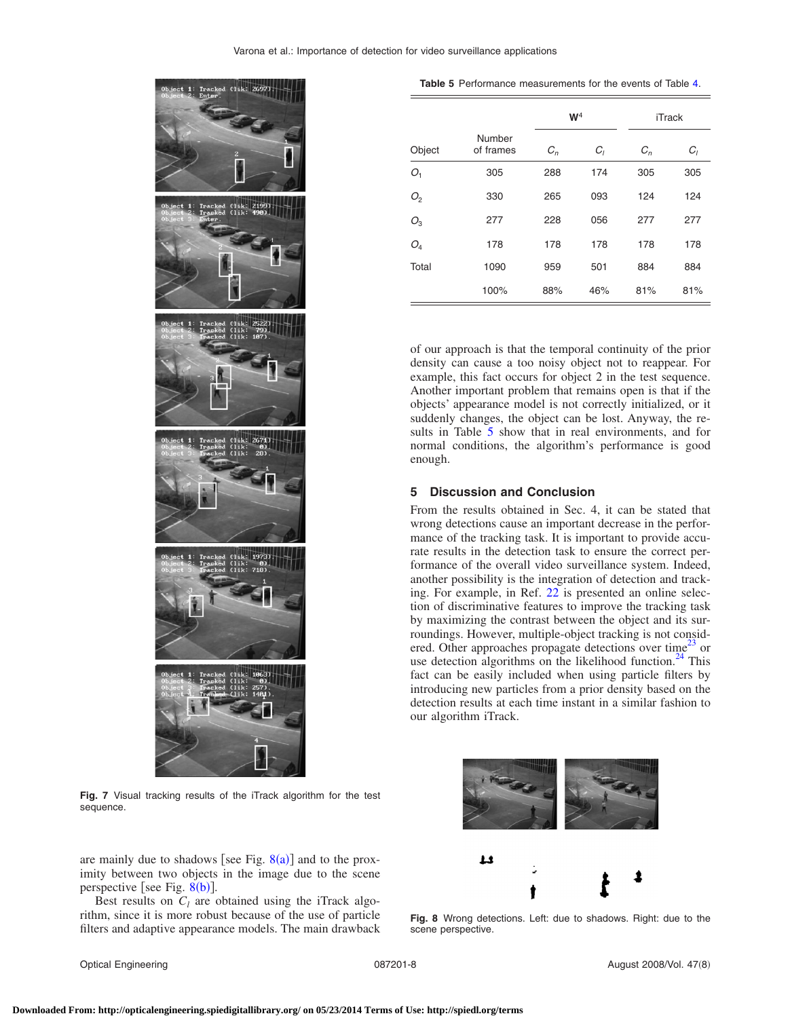<span id="page-7-0"></span>

**Fig. 7** Visual tracking results of the iTrack algorithm for the test sequence.

are mainly due to shadows [see Fig.  $8(a)$  $8(a)$ ] and to the proximity between two objects in the image due to the scene perspective [see Fig.  $8(b)$  $8(b)$ ].

Best results on  $C_l$  are obtained using the iTrack algorithm, since it is more robust because of the use of particle filters and adaptive appearance models. The main drawback **Table 5** Performance measurements for the events of Table [4.](#page-6-1)

<span id="page-7-1"></span>

|                |                     | W <sup>4</sup> |       | <b>iTrack</b> |       |
|----------------|---------------------|----------------|-------|---------------|-------|
| Object         | Number<br>of frames | $C_n$          | $C_I$ | $C_n$         | $C_I$ |
| O <sub>1</sub> | 305                 | 288            | 174   | 305           | 305   |
| Ο,             | 330                 | 265            | 093   | 124           | 124   |
| $O_3$          | 277                 | 228            | 056   | 277           | 277   |
| $O_4$          | 178                 | 178            | 178   | 178           | 178   |
| Total          | 1090                | 959            | 501   | 884           | 884   |
|                | 100%                | 88%            | 46%   | 81%           | 81%   |

of our approach is that the temporal continuity of the prior density can cause a too noisy object not to reappear. For example, this fact occurs for object 2 in the test sequence. Another important problem that remains open is that if the objects' appearance model is not correctly initialized, or it suddenly changes, the object can be lost. Anyway, the re-sults in Table [5](#page-7-1) show that in real environments, and for normal conditions, the algorithm's performance is good enough.

# **5 Discussion and Conclusion**

From the results obtained in Sec. 4, it can be stated that wrong detections cause an important decrease in the performance of the tracking task. It is important to provide accurate results in the detection task to ensure the correct performance of the overall video surveillance system. Indeed, another possibility is the integration of detection and tracking. For example, in Ref. [22](#page-8-21) is presented an online selection of discriminative features to improve the tracking task by maximizing the contrast between the object and its surroundings. However, multiple-object tracking is not considered. Other approaches propagate detections over time<sup>23</sup> or use detection algorithms on the likelihood function. $^{24}$  This fact can be easily included when using particle filters by introducing new particles from a prior density based on the detection results at each time instant in a similar fashion to our algorithm iTrack.

<span id="page-7-2"></span>

**Fig. 8** Wrong detections. Left: due to shadows. Right: due to the scene perspective.